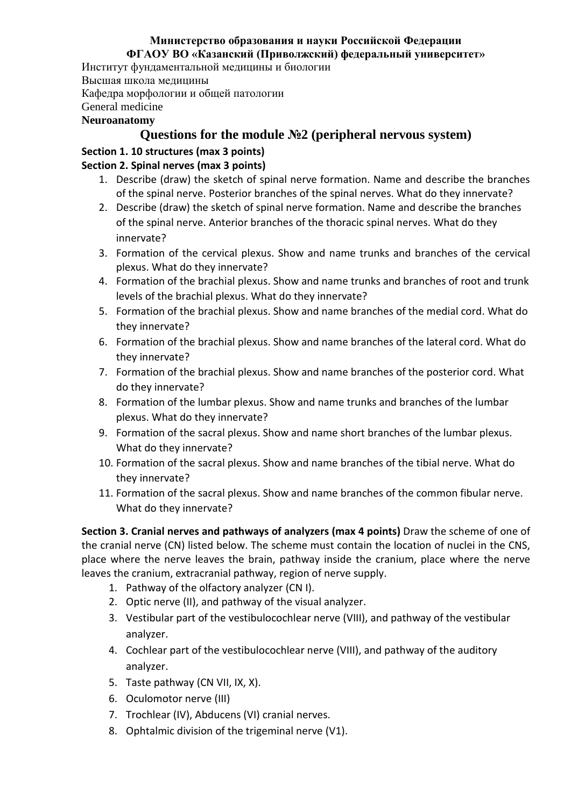#### **Министерство образования и науки Российской Федерации ФГАОУ ВО «Казанский (Приволжский) федеральный университет»**

Институт фундаментальной медицины и биологии

Высшая школа медицины

Кафедра морфологии и общей патологии

General medicine

#### **Neuroanatomy**

## **Questions for the module №2 (peripheral nervous system)**

### **Section 1. 10 structures (max 3 points)**

### **Section 2. Spinal nerves (max 3 points)**

- 1. Describe (draw) the sketch of spinal nerve formation. Name and describe the branches of the spinal nerve. Posterior branches of the spinal nerves. What do they innervate?
- 2. Describe (draw) the sketch of spinal nerve formation. Name and describe the branches of the spinal nerve. Anterior branches of the thoracic spinal nerves. What do they innervate?
- 3. Formation of the cervical plexus. Show and name trunks and branches of the cervical plexus. What do they innervate?
- 4. Formation of the brachial plexus. Show and name trunks and branches of root and trunk levels of the brachial plexus. What do they innervate?
- 5. Formation of the brachial plexus. Show and name branches of the medial cord. What do they innervate?
- 6. Formation of the brachial plexus. Show and name branches of the lateral cord. What do they innervate?
- 7. Formation of the brachial plexus. Show and name branches of the posterior cord. What do they innervate?
- 8. Formation of the lumbar plexus. Show and name trunks and branches of the lumbar plexus. What do they innervate?
- 9. Formation of the sacral plexus. Show and name short branches of the lumbar plexus. What do they innervate?
- 10. Formation of the sacral plexus. Show and name branches of the tibial nerve. What do they innervate?
- 11. Formation of the sacral plexus. Show and name branches of the common fibular nerve. What do they innervate?

**Section 3. Cranial nerves and pathways of analyzers (max 4 points)** Draw the scheme of one of the cranial nerve (CN) listed below. The scheme must contain the location of nuclei in the CNS, place where the nerve leaves the brain, pathway inside the cranium, place where the nerve leaves the cranium, extracranial pathway, region of nerve supply.

- 1. Pathway of the olfactory analyzer (CN I).
- 2. Optic nerve (II), and pathway of the visual analyzer.
- 3. Vestibular part of the vestibulocochlear nerve (VIII), and pathway of the vestibular analyzer.
- 4. Cochlear part of the vestibulocochlear nerve (VIII), and pathway of the auditory analyzer.
- 5. Taste pathway (CN VII, IX, X).
- 6. Oculomotor nerve (III)
- 7. Trochlear (IV), Abducens (VI) cranial nerves.
- 8. Ophtalmic division of the trigeminal nerve (V1).